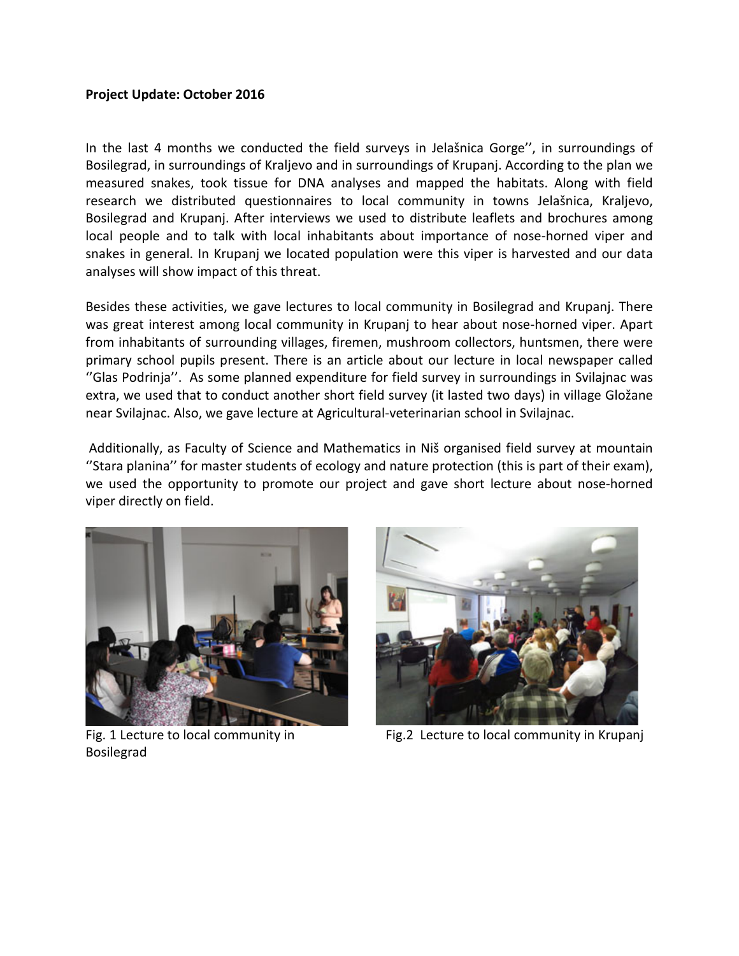## **Project Update: October 2016**

In the last 4 months we conducted the field surveys in Jelašnica Gorge'', in surroundings of Bosilegrad, in surroundings of Kraljevo and in surroundings of Krupanj. According to the plan we measured snakes, took tissue for DNA analyses and mapped the habitats. Along with field research we distributed questionnaires to local community in towns Jelašnica, Kraljevo, Bosilegrad and Krupanj. After interviews we used to distribute leaflets and brochures among local people and to talk with local inhabitants about importance of nose-horned viper and snakes in general. In Krupanj we located population were this viper is harvested and our data analyses will show impact of this threat.

Besides these activities, we gave lectures to local community in Bosilegrad and Krupanj. There was great interest among local community in Krupanj to hear about nose-horned viper. Apart from inhabitants of surrounding villages, firemen, mushroom collectors, huntsmen, there were primary school pupils present. There is an article about our lecture in local newspaper called ''Glas Podrinja''. As some planned expenditure for field survey in surroundings in Svilajnac was extra, we used that to conduct another short field survey (it lasted two days) in village Gložane near Svilajnac. Also, we gave lecture at Agricultural-veterinarian school in Svilajnac.

Additionally, as Faculty of Science and Mathematics in Niš organised field survey at mountain ''Stara planina'' for master students of ecology and nature protection (this is part of their exam), we used the opportunity to promote our project and gave short lecture about nose-horned viper directly on field.





Fig. 1 Lecture to local community in Bosilegrad

Fig.2 Lecture to local community in Krupanj